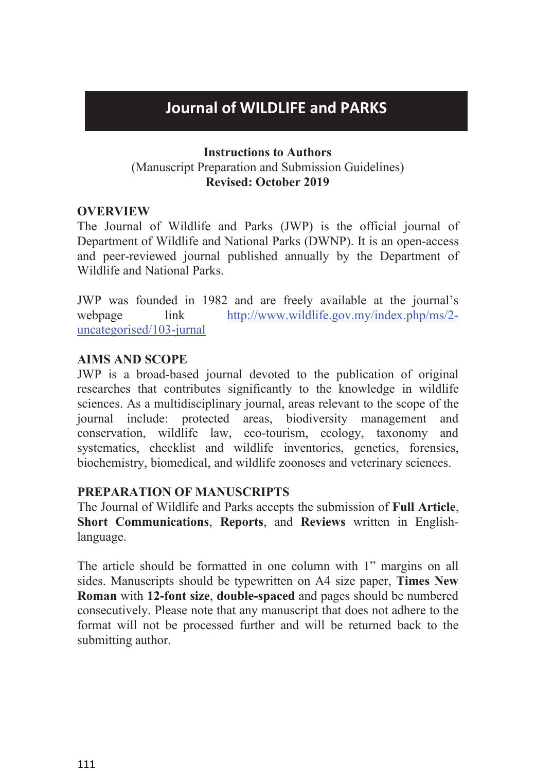# **Journal of WILDLIFE and PARKS**<br> **Instructions to Authors**<br> **Secript Preparation and Submission Guidelines)**<br> **Revised: October 2019 Instructions to Authors<br>
Instructions to Authors<br>
Instructions to Authors<br>
Revised: October 2019 Journal of WILDLIFE and PARKS**<br>
Instructions to Authors<br>
(Manuscript Preparation and Submission Guidelines)<br>
Revised: October 2019<br>
EW<br>
All of Wildlife and Parks (JWP) is the official journal of **Review of WILDLIFE and PARKS**<br> **Revised: October 2019**<br> **Revised: October 2019**<br> **Revised: October 2019**<br> **Revised: October 2019**<br> **Revised: October 2019**<br> **Revised: October 2019**<br> **Revised: OWNP**). It is an open-access

# **OVERVIEW**

**Journal of WILDLIFE and PARKS**<br> **Instructions to Authors**<br>
(Manuscript Preparation and Submission Guidelines)<br>
Revised: October 2019<br>
OVERVIEW<br>
The Journal of Wildlife and Parks (JWP) is the official journal of<br>
Departmen **Journal of WILDLIFE and PARKS**<br> **Instructions to Authors**<br>
(Manuscript Preparation and Submission Guidelines)<br> **Revised: October 2019**<br> **OVERVIEW**<br>
The Journal of Wildlife and Parks (JWP) is the official journal of<br>
Depar **Journal of WILDLIFE and PARKS**<br> **Instructions to Authors**<br>
(Manuscript Preparation and Submission Guidelines)<br> **Revised: October 2019**<br> **OVERVIEW**<br> **Department of Wildlife and Parks (JWP)** is the official journal of<br>
Depa **Journal of WILDLIFE and PARKS**<br> **Instructions to Authors**<br>
(Manuscript Preparation and Submission Guideline<br>
Revised: October 2019<br>
OVERVIEW<br>
The Journal of Wildlife and Parks (JWP) is the officia<br>
Department of Wildlife JOUTHEand PARKS<br>
Instructions to Authors<br>
(Manuscript Preparation and Submission Guidelines)<br>
Revised: October 2019<br>
OVERVIEW<br>
The Journal of Wildlife and Parks (JWP) is the official journal of<br>
Department of Wildlife and **Instructions to Authors**<br>
(Manuscript Preparation and Submission Guidelines)<br> **Revised: October 2019**<br> **OVERVIEW**<br>
The Journal of Wildlife and Parks (JWP) is the official journal of<br>
Department of Wildlife and National Pa (Wantuscript Freparation and Submission C<br> **Acknow Revised: October 2019**<br> **AIMS AND SCOPE**<br>
We are freely available and Mational Parks (DWNP)<br>
and peer-reviewed journal published annually by<br>
Wildlife and National Parks.<br>

uncategorised/103-jurnal

**SEAME EXECTS THE SEAME SEAMER SEAMER THE SEAMER SEAMER THE JOURNAL THE JOURNAL THE JOURNAL OF DEPARTMENT OF DEPARTMENT OF WILL ALL AND SCAPE THE published annually by the Department of Wildlife and National Parks.<br>
JWP wa OVERVIEW**<br>The Journal of Wildlife and Parks (JWP) is the official journal of<br>Department of Wildlife and National Parks (DWNP). It is an open-access<br>and peer-reviewed journal published annually by the Department of<br>Wildlif **SCONGIGY THE JOUTE SCILL AS A MULTER CONTROL** The Journal of Department of Wildlife and National Parks (DWNP). It is an open-access<br>and peer-reviewed journal published annually by the Department of<br>Wildlife and National P The Journal of Wildlife and Parks (JWP) is the official journal of Department of Wildlife and National Parks (DWNP). It is an open-access<br>and peer-reviewed journal published annually by the Department of<br>Wildlife and Natio Department of Wildlife and National Parks (DWNP). It is an open-access<br>and peer-reviewed journal published annually by the Department of<br>Wildlife and National Parks.<br>JWP was founded in 1982 and are freely available at the and peer-reviewed journal published annually by the Department of<br>
Wildlife and National Parks.<br>
JWP was founded in 1982 and are freely available at the journal's<br>
webpage link http://www.wildlife.gov.my/index.php/ms/2-<br>
u Wildlife and National Parks.<br>
JWP was founded in 1982 and are freely available at the journal's<br>
webpage link http://www.wildlife.gov.my/index.php/ms/2-<br>
uncategorised/103-jurnal<br> **AIMS AND SCOPE**<br>
JWP is a broad-based jou For We was founded in 1962 and are fleely available at the jot<br>webpage link http://www.wildlife.gov.my/index.php<br>uncategorised/103-jurnal<br>**AIMS AND SCOPE**<br>JWP is a broad-based journal devoted to the publication of o<br>resear webpage Imk http://www.wildlife.gov.my/index.php/ms/2-<br>uncategorised/103-jurnal<br>IMMS AND SCOPE<br>IWP is a broad-based journal devoted to the publication of original<br>researches that contributes significantly to the knowledge JWP is a broad-based journal devoted to the publication of original<br>researches that contributes significantly to the knowledge in wildlife<br>sciences. As a multidisciplinary journal, areas relevant to the scope of the<br>journa

language.

researches that contributes significantly to the knowledge in wildlife<br>sciences. As a multidisciplinary journal, areas relevant to the scope of the<br>journal include: protected areas, biodiversity management and<br>conservation sciences. As a multidisciplinary journal, areas relevant to the scope of the conservation, wildlife law, coo-tourism, ecology, taxonomy and systematics, checklist and wildlife inventories, genetics, forensics, biochemistry pournal include: protected areas, biodiversity management and<br>conservation, wildlife law, eco-tourism, ecology, taxonomy and<br>systematics, ehecklist and wildlife inventories, genetics, forensics,<br>biochemistry, biomedical, a conservation, wildlife law, eco-tourism, ecology, taxonomy and<br>systematics, checklist and wildlife inventories, genetics, forensics,<br>biochemistry, biomedical, and wildlife zoonoses and veterinary sciences.<br>**PREPARATION OF** systematics, checklist and wildlife inventories<br>biochemistry, biomedical, and wildlife zoonoses a<br>**PREPARATION OF MANUSCRIPTS**<br>The Journal of Wildlife and Parks accepts the sub<br>**Short Communications**, **Reports**, and **Revie**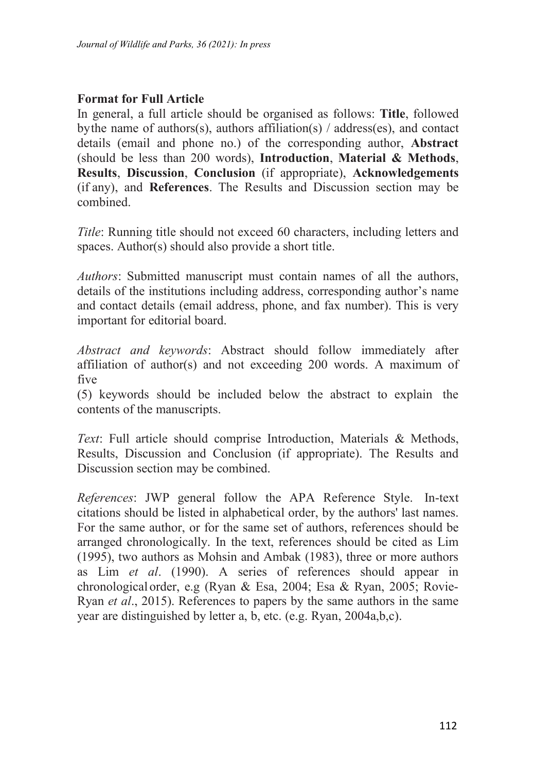*Format of Wildlife and Parks, 36 (2021): In press*<br> **Format for Full Article**<br>
In general, a full article should be organised as follow<br>
by the name of authors(s), authors affiliation(s) / addres<br>
details (email and phone **Iournal of Wildlife and Parks, 36 (2021): In press**<br> **Format for Full Article**<br>
In general, a full article should be organised as follows: **Title**, followed<br>
by the name of authors(s), authors affiliation(s) / address(es) bythe name of Wildlife and Parks, 36 (2021): In press<br> **Format for Full Article**<br>
In general, a full article should be organised as follows: **Title**, followed<br>
bythe name of authors(s), authors affiliation(s) / address(es) Journal of Wildlife and Parks, 36 (2021): In press<br> **Format for Full Article**<br>
In general, a full article should be organised as follows: **Title**, followed<br>
by the name of authors(s), authors affiliation(s) / address(es), (*Sournal of Wildlife and Parks, 36 (2021): In press*<br> **In general, a full article**<br>
In general, a full article should be organised as follows: **Title**, followed<br>
by the name of authors(s), authors affiliation(s) / address (*Journal of Wildlife and Parks, 36 (2021): In press*<br> **Format for Full Article**<br>
In general, a full article should be organised as follows: **Title**, followed<br>
by the name of authors(s), authors affiliation(s) / address(es combined. *Journal of Wildlife and Parks, 36 (2021): In press*<br> **Format for Full Article**<br>
In general, a full article should be organised as follows: Title, followed<br>
by the name of atthros(s), authors affiliation(s)/address(es), an **Format for Full Article**<br>In general, a full article should be organised as follows: **Title**, followed<br>by the name of authors(s), authors affiliation(s) / address(es), and contact<br>details (email and phone no.) of the corr **Format for Full Article**<br>*In general, a full article should be organised as follows: Title, followed*<br>by the name of authors(s), authors affiliation(s) / address(es), and contact<br>details (email and phone no.) of the corre Format for Full Article<br>should be organised as follows: Title, followed<br>hythe name of authors(s), authors affiliation(s) / address(es), and contact<br>details (email and phone no.) of the corresponding author, **Abstract**<br>(sh In general, a rull article should be organised as follows: **Inte**, followed<br>by the name of authors(s), authors affiliation(s)/address(cs), and contact<br>details (email and phone no.) of the corresponding author, **Abstract**<br>( by the name of authors(s), authors affiliation(s) / address(es),<br>details (email and phone no.) of the corresponding author<br>(should be less than 200 words), **Introduction**, **Material (Results, Discussion, Conclusion** (if ap

(should be less than 200 words), **Introduction**, **Material & Methods**,<br>**Results, Discussion, Conclusion** (if appropriate), **Acknowledgements**<br>**Acknowledgements**<br>*Ather*, **Discussion**, **Conclusion** (if appropriate), **Acknow Results, Discussion, Conclusion** (if appropriate), Acknowledgements<br>(if any), and References. The Results and Discussion section may be<br>combined.<br>Title: Running title should not exceed 60 characters, including letters and Title: Running title should not exceed 60 characters, including letters and<br>spaces. Author(s) should also provide a short title.<br>Authors: Submitted manuscript must contain names of all the authors,<br>details of the instituti Title: Running title should not exceed 60 characters, is spaces. Author(s) should also provide a short title.<br>Authors: Submitted manuscript must contain names<br>details of the institutions including address, correspor<br>and co *Full article should also provide a short title.*<br> *Authors:* Submitted manuscript must contain names of all the authors,<br>
details of the institutions including address, corresponding author's name<br>
and contact details (em *Authors*: Submitted manuscript must contain names of all the authors,<br>details of the institutions including address, corresponding author's name<br>and contact details (email address, phone, and fax number). This is very<br>imp Authors: Submitted manuscript must contain names of all the<br>details of the institutions including address, corresponding author<br>and contact details (email address, phone, and fax number). This<br>important for editorial board

five

and contact details (email address, phone, and fax number). This is very<br> *Abstract and keywords*: Abstract should follow immediately after<br>
affiliation of author(s) and not exceeding 200 words. A maximum of<br>
five<br>
(5) key mportant for editorial board.<br>
Abstract and keywords: Abstract should follow immediately after<br>
affiliation of author(s) and not exceeding 200 words. A maximum of<br>
five<br>
(5) keywords should be included below the abstract t Abstract and keywords: Abstract should follow immediately after affiliation of author(s) and not exceeding 200 words. A maximum of five<br>(5) keywords should be included below the abstract to explain the contents of the man Abstract and keywords: Abstract should follow immediately after<br>affiliation of author(s) and not exceeding 200 words. A maximum of<br>five<br>(5) keywords should be included below the abstract to explain the<br>contents of the man attiliation of author(s) and not exceeding 200 words. A maximum of<br>five<br>(5) keywords should be included below the abstract to explain the<br>contents of the manuscripts.<br>Text: Full article should comprise Introduction, Mater five<br>
(5) keywords should be included below the abstract to explain the<br>
contents of the manuscripts.<br>
Text: Full article should comprise Introduction, Materials & Methods,<br>
Results, Discussion and Conclusion (if appropria (5) keywords should be included below the abstract to explain the contents of the manuscripts.<br> *Text:* Full article should comprise Introduction, Materials & Methods, Results, Discussion and Conclusion (if appropriate). contents of the manuscripts.<br>Text: Full article should comprise Introduction, Materials & Methods,<br>Results, Discussion and Conclusion (if appropriate). The Results and<br>Discussion section may be combined.<br>References: JWP ge Text: Full article should comprise Introduction, Materials & Methods,<br>Results, Discussion and Conclusion (if appropriate). The Results and<br>Discussion section may be combined.<br> *References*: JWP general follow the APA Refer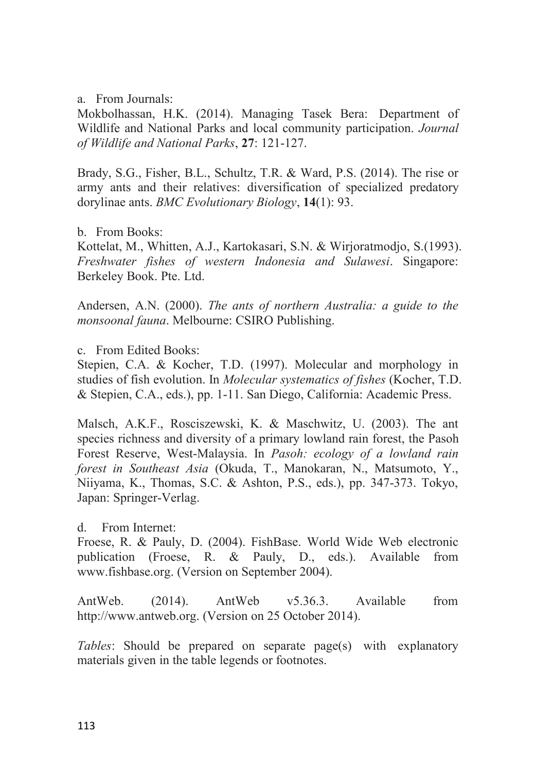a. From Journals:<br>Mokbolhassan, H.K. (2014). Managing Tase<br>Wildlife and National Parks and local commun<br>of Wildlife and National Parks, 27: 121-127. a. From Journals:<br>Mokbolhassan, H.K. (2014). Managing Tasek Bera: Department of<br>Wildlife and National Parks and local community participation. *Journal*<br>of Wildlife and National Parks, 27: 121-127.<br>Brady. S.G. Fisher. B.L. a. From Journals:<br>Mokbolhassan, H.K. (2014). Managing Tasek Bera: Department of<br>Wildlife and National Parks and local community participation. *Journal*<br>of Wildlife and National Parks, 27: 121-127.<br>Brady, S.G., Fisher, B.L *From Journals:*<br> *Mokbolhassan, H.K. (2014). Managing Tasek Bera: Department of*<br> *Wildlife and National Parks and local community participation. Journal*<br> *of Wildlife and National Parks, 27: 121-127.*<br> *Brady, S.G., Fis* 

a. From Journals:<br>Mokbolhassan, H.K. (2014). Managing Tasek Bera: Department of<br>Wildlife and National Parks and local community participation. *Journal*<br>of Wildlife and National Parks, 27: 121-127.<br>Brady, S.G., Fisher, B.L a. From Journals:<br>
Mokbolhassan, H.K. (2014). Managing Tasek Bera: Department of<br>
Wildlife and National Parks, 27: 121-127.<br>
Brady, S.G., Fisher, B.L., Schultz, T.R. & Ward, P.S. (2014). The rise or<br>
army ants and their re a. From Journals:<br>
Mokbolhassan, H.K. (2014). Managing Tasek Bera: Department of<br>
Wildlife and National Parks and local community participation. *Journal*<br>
of Wildlife and National Parks, 27: 121-127.<br>
Brady, S.G., Fisher, a. From Journals:<br>Mokbolhassan, H.K. (2014). Managing Tase<br>Wildlife and National Parks and local commun<br>of Wildlife and National Parks, 27: 121-127.<br>Brady, S.G., Fisher, B.L., Schultz, T.R. & Warc<br>army ants and their relat a. From Journals:<br>
Mokbolhassan, H.K. (2014). Managing Tasek Bera: Department of<br>
Wildlife and National Parks, **27**: 121-127.<br>
Brady, S.G., Fisher, B.L., Schultz, T.R. & Ward, P.S. (2014). The rise or<br>
army ants and their **EXECTS And The Sulary Synchety Consoling Searce:** Department of Wildlife and National Parks and local community participation. *Journal* of Wildlife and National Parks, **27**: 121-127.<br>Brady, S.G., Fisher, B.L., Schultz, T a. From Journals:<br>
Mokbolhassan, H.K. (2014). Managing Tasek Bera: I<br>
Wildlife and National Parks and local community particip<br>
of Wildlife and National Parks, 27: 121-127.<br>
Brady, S.G., Fisher, B.L., Schultz, T.R. & Ward, Mokbolhassan, H.K. (2014). Managing Tasek Bera: Department of<br>Wildlife and National Parks and local community participation. *Journal*<br>of Wildlife and National Parks, 27: 121-127.<br>Brady, S.G., Fisher, B.L., Schultz, T.R. & *monsonal Parks* and local community participation. *Journal* of *Wildlife and National Parks*, 27: 121-127.<br>
Brady, S.G., Fisher, B.L., Schultz, T.R. & Ward, P.S. (2014). The rise or<br>
army ants and their relatives: divers

Brady, S.G., Fisher, B.L., Schultz, T.R. & Ward, P.S. (<br>army ants and their relatives: diversification of spe<br>dorylinae ants. *BMC Evolutionary Biology*, 14(1): 93.<br>b. From Books:<br>Kottelat, M., Whitten, A.J., Kartokasari, Brady, S.G., Fisher, B.L., Schultz, T.K. & Ward, P.S. (2014). The rise or<br>army ants and their relatives: diversification of specialized predatory<br>dorylinae ants. *BMC Evolutionary Biology*, 14(1): 93.<br>b. From Books:<br>Kottel army ants and their relatives: diversification of specialized predatory<br>dorylinae ants. *BMC Evolutionary Biology*, **14**(1): 93.<br>b. From Books:<br>Kottelat, M., Whitten, A.J., Kartokasari, S.N. & Wirjoratmodjo, S.(1993).<br>*Fre* dorylinae ants. *BMC Evolutionary Biology*, 14(1): 93.<br>
b. From Books:<br>
Kottelat, M., Whitten, A.J., Kartokasari, S.N. & Wirjoratmodjo, S.(1993).<br> *Freshwater fishes of western Indonesia and Sulawesi*. Singapore:<br>
Berkeley

b. From Books:<br>
Kretlat, M., Whitten, A.J., Kartokasari, S.N. & Wirjoratmodjo, S.(1993).<br> *Freshwater fishes of western Indonesia and Sulawesi*. Singapore:<br> *Berkeley Book. Pte. Ltd.*<br>
Andersen, A.N. (2000). *The ants of n* Kottelat, M., Whitten, A.J., Kartokasari, S.N. & Wirjoratmodjo, S.(1993).<br>Freshwater fishes of western Indonesia and Sulawesi. Singapore:<br>Berkeley Book. Pte. Ltd.<br>Andersen, A.N. (2000). The ants of northern Australia: a gu *Freshwater Jishes of western Indonesia and Sulawesi.* Singapore:<br>Berkeley Book. Pte. Ltd.<br>Andersen, A.N. (2000). *The ants of northern Australia: a guide to the*<br>monsoonal fauna. Melbourne: CSIRO Publishing.<br>c. From Edite *forestial Horestical Asia* (2000). *The ants of northern Australia: a guide to the monsoonal fauna.* Melbourne: CSIRO Publishing.<br>
c. From Edited Books:<br>
forepien, C.A., & Kocher, T.D. (1997). Molecular and morphology in<br> Andersen, A.N. (2000). *The ants of northern Australia: a guide to the monsoonal fauna*. Melbourne: CSIRO Publishing.<br>
c. From Edited Books:<br>
Stepien, C.A. & Kocher, T.D. (1997). Molecular and morphology in<br>
studies of fis Andersen, A.N. (2000). *The ants of norther*<br>monsoonal fauna. Melbourne: CSIRO Publish<br>c. From Edited Books:<br>Stepien, C.A. & Kocher, T.D. (1997). Mo<br>studies of fish evolution. In *Molecular system*<br>& Stepien, C.A., eds.), c.From Edited Books:<br>Stepien, C.A. & Kocher, T.D. (1997). Molecu<br>studies of fish evolution. In *Molecular systematic*<br>& Stepien, C.A., eds.), pp. 1-11. San Diego, Calif<br>Malsch, A.K.F., Rosciszewski, K. & Maschwi<br>species r c. From Euted Books:<br>Stepien, C.A. & Kocher, T.D. (1997). Molecular and morphology in<br>Studies of fish evolution. In *Molecular systematics of fishes* (Kocher, T.D.<br>& Stepien, C.A., eds.), pp. 1-11. San Diego, California: A Stepien, C.A. & Kocher, T.D. (1997). Molecular and morphology in<br>studies of fish evolution. In *Molecular systematics of fishes* (Kocher, T.D.<br>& Stepien, C.A., eds.), pp. 1-11. San Diego, California: Academic Press.<br>Malsch studiesof fish evolution. In *Molecular systematics of Jishes* (Kocher, 1.D. & Stepien, C.A., eds.), pp. 1-11. San Diego, California: Academic Press.<br>Malsch, A.K.F., Rosciszewski, K. & Maschwitz, U. (2003). The ant specie Malsch, A.K.F., Rosciszewski, K. & Maschwitz, U. (2003). The ant<br>species richness and diversity of a primary lowland rain forest, the Pasoh<br>Forest Reserve, West-Malaysia. In *Pasoh: ecology of a lowland rain*<br>forest in *So* Malsch, A.K.F., Rosciszewski, K. & Maschwitz, U. (2003). The ant<br>species richness and diversity of a primary lowland rain forest, the Pasoh<br>Forest Reserve, West-Malaysia. In *Pasoh: ecology of a lowland rain*<br>forest in *So* Forest Keserve, West-Malaysia. In *Pason: ecology of a lowland rain*<br>forest in Southeast Asia (Okuda, T., Manokaran, N., Matsumoto, Y.,<br>Niiyama, K., Thomas, S.C. & Ashton, P.S., eds.), pp. 347-373. Tokyo,<br>Japan: Springer-V

forest in Southeast Asia (Okuda, 1., Manokaran, N., Matsumoto, Y., Niiyama, K., Thomas, S.C. & Ashton, P.S., eds.), pp. 347-373. Tokyo, Japan: Springer-Verlag.<br>
d. From Internet:<br>
Froese, R. & Pauly, D. (2004). FishBase. W